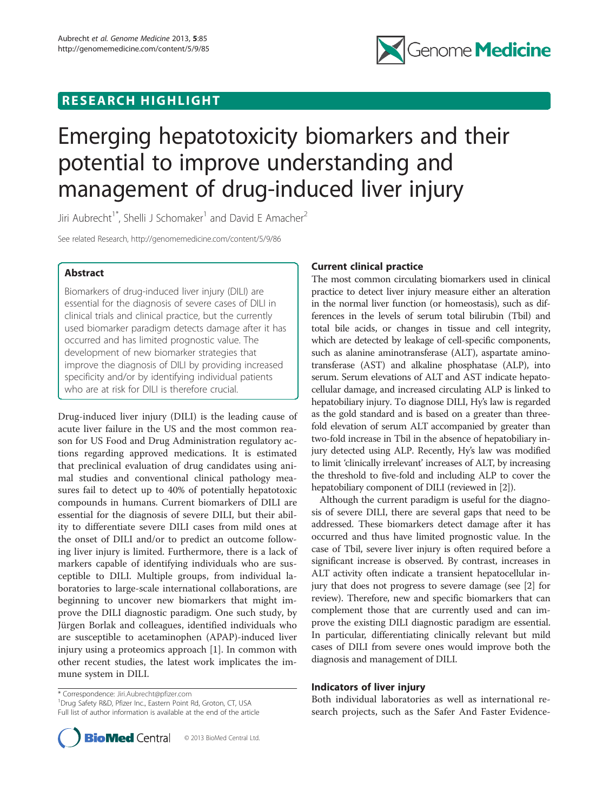## RESEARCH HIGHLIGHT



# Emerging hepatotoxicity biomarkers and their potential to improve understanding and management of drug-induced liver injury

Jiri Aubrecht<sup>1\*</sup>, Shelli J Schomaker<sup>1</sup> and David E Amacher<sup>2</sup>

See related Research, http://genomemedicine.com/content/5/9/86

## Abstract

Biomarkers of drug-induced liver injury (DILI) are essential for the diagnosis of severe cases of DILI in clinical trials and clinical practice, but the currently used biomarker paradigm detects damage after it has occurred and has limited prognostic value. The development of new biomarker strategies that improve the diagnosis of DILI by providing increased specificity and/or by identifying individual patients who are at risk for DILI is therefore crucial.

Drug-induced liver injury (DILI) is the leading cause of acute liver failure in the US and the most common reason for US Food and Drug Administration regulatory actions regarding approved medications. It is estimated that preclinical evaluation of drug candidates using animal studies and conventional clinical pathology measures fail to detect up to 40% of potentially hepatotoxic compounds in humans. Current biomarkers of DILI are essential for the diagnosis of severe DILI, but their ability to differentiate severe DILI cases from mild ones at the onset of DILI and/or to predict an outcome following liver injury is limited. Furthermore, there is a lack of markers capable of identifying individuals who are susceptible to DILI. Multiple groups, from individual laboratories to large-scale international collaborations, are beginning to uncover new biomarkers that might improve the DILI diagnostic paradigm. One such study, by Jürgen Borlak and colleagues, identified individuals who are susceptible to acetaminophen (APAP)-induced liver injury using a proteomics approach [\[1](#page-2-0)]. In common with other recent studies, the latest work implicates the immune system in DILI.

\* Correspondence: [Jiri.Aubrecht@pfizer.com](mailto:Jiri.Aubrecht@pfizer.com) <sup>1</sup>

<sup>1</sup>Drug Safety R&D, Pfizer Inc., Eastern Point Rd, Groton, CT, USA Full list of author information is available at the end of the article



## Current clinical practice

The most common circulating biomarkers used in clinical practice to detect liver injury measure either an alteration in the normal liver function (or homeostasis), such as differences in the levels of serum total bilirubin (Tbil) and total bile acids, or changes in tissue and cell integrity, which are detected by leakage of cell-specific components, such as alanine aminotransferase (ALT), aspartate aminotransferase (AST) and alkaline phosphatase (ALP), into serum. Serum elevations of ALT and AST indicate hepatocellular damage, and increased circulating ALP is linked to hepatobiliary injury. To diagnose DILI, Hy's law is regarded as the gold standard and is based on a greater than threefold elevation of serum ALT accompanied by greater than two-fold increase in Tbil in the absence of hepatobiliary injury detected using ALP. Recently, Hy's law was modified to limit 'clinically irrelevant' increases of ALT, by increasing the threshold to five-fold and including ALP to cover the hepatobiliary component of DILI (reviewed in [[2](#page-2-0)]).

Although the current paradigm is useful for the diagnosis of severe DILI, there are several gaps that need to be addressed. These biomarkers detect damage after it has occurred and thus have limited prognostic value. In the case of Tbil, severe liver injury is often required before a significant increase is observed. By contrast, increases in ALT activity often indicate a transient hepatocellular injury that does not progress to severe damage (see [[2](#page-2-0)] for review). Therefore, new and specific biomarkers that can complement those that are currently used and can improve the existing DILI diagnostic paradigm are essential. In particular, differentiating clinically relevant but mild cases of DILI from severe ones would improve both the diagnosis and management of DILI.

## Indicators of liver injury

Both individual laboratories as well as international research projects, such as the Safer And Faster Evidence-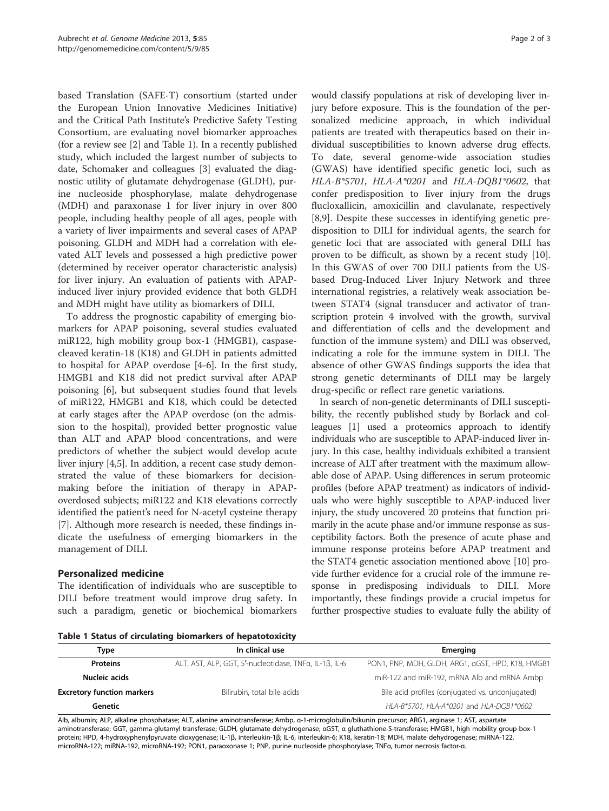based Translation (SAFE-T) consortium (started under the European Union Innovative Medicines Initiative) and the Critical Path Institute's Predictive Safety Testing Consortium, are evaluating novel biomarker approaches (for a review see [[2\]](#page-2-0) and Table 1). In a recently published study, which included the largest number of subjects to date, Schomaker and colleagues [\[3](#page-2-0)] evaluated the diagnostic utility of glutamate dehydrogenase (GLDH), purine nucleoside phosphorylase, malate dehydrogenase (MDH) and paraxonase 1 for liver injury in over 800 people, including healthy people of all ages, people with a variety of liver impairments and several cases of APAP poisoning. GLDH and MDH had a correlation with elevated ALT levels and possessed a high predictive power (determined by receiver operator characteristic analysis) for liver injury. An evaluation of patients with APAPinduced liver injury provided evidence that both GLDH and MDH might have utility as biomarkers of DILI.

To address the prognostic capability of emerging biomarkers for APAP poisoning, several studies evaluated miR122, high mobility group box-1 (HMGB1), caspasecleaved keratin-18 (K18) and GLDH in patients admitted to hospital for APAP overdose [\[4](#page-2-0)-[6\]](#page-2-0). In the first study, HMGB1 and K18 did not predict survival after APAP poisoning [\[6\]](#page-2-0), but subsequent studies found that levels of miR122, HMGB1 and K18, which could be detected at early stages after the APAP overdose (on the admission to the hospital), provided better prognostic value than ALT and APAP blood concentrations, and were predictors of whether the subject would develop acute liver injury [\[4,5](#page-2-0)]. In addition, a recent case study demonstrated the value of these biomarkers for decisionmaking before the initiation of therapy in APAPoverdosed subjects; miR122 and K18 elevations correctly identified the patient's need for N-acetyl cysteine therapy [[7\]](#page-2-0). Although more research is needed, these findings indicate the usefulness of emerging biomarkers in the management of DILI.

## Personalized medicine

The identification of individuals who are susceptible to DILI before treatment would improve drug safety. In such a paradigm, genetic or biochemical biomarkers

would classify populations at risk of developing liver injury before exposure. This is the foundation of the personalized medicine approach, in which individual patients are treated with therapeutics based on their individual susceptibilities to known adverse drug effects. To date, several genome-wide association studies (GWAS) have identified specific genetic loci, such as HLA-B\*5701, HLA-A\*0201 and HLA-DQB1\*0602, that confer predisposition to liver injury from the drugs flucloxallicin, amoxicillin and clavulanate, respectively [[8,9\]](#page-2-0). Despite these successes in identifying genetic predisposition to DILI for individual agents, the search for genetic loci that are associated with general DILI has proven to be difficult, as shown by a recent study [\[10](#page-2-0)]. In this GWAS of over 700 DILI patients from the USbased Drug-Induced Liver Injury Network and three international registries, a relatively weak association between STAT4 (signal transducer and activator of transcription protein 4 involved with the growth, survival and differentiation of cells and the development and function of the immune system) and DILI was observed, indicating a role for the immune system in DILI. The absence of other GWAS findings supports the idea that strong genetic determinants of DILI may be largely drug-specific or reflect rare genetic variations.

In search of non-genetic determinants of DILI susceptibility, the recently published study by Borlack and colleagues [\[1\]](#page-2-0) used a proteomics approach to identify individuals who are susceptible to APAP-induced liver injury. In this case, healthy individuals exhibited a transient increase of ALT after treatment with the maximum allowable dose of APAP. Using differences in serum proteomic profiles (before APAP treatment) as indicators of individuals who were highly susceptible to APAP-induced liver injury, the study uncovered 20 proteins that function primarily in the acute phase and/or immune response as susceptibility factors. Both the presence of acute phase and immune response proteins before APAP treatment and the STAT4 genetic association mentioned above [\[10](#page-2-0)] provide further evidence for a crucial role of the immune response in predisposing individuals to DILI. More importantly, these findings provide a crucial impetus for further prospective studies to evaluate fully the ability of

Table 1 Status of circulating biomarkers of hepatotoxicity

| Type                              | In clinical use                                        | Emerging                                          |
|-----------------------------------|--------------------------------------------------------|---------------------------------------------------|
| <b>Proteins</b>                   | ALT, AST, ALP, GGT, 5'-nucleotidase, TNFa, IL-1ß, IL-6 | PON1, PNP, MDH, GLDH, ARG1, aGST, HPD, K18, HMGB1 |
| Nucleic acids                     |                                                        | miR-122 and miR-192, mRNA Alb and mRNA Ambp       |
| <b>Excretory function markers</b> | Bilirubin, total bile acids                            | Bile acid profiles (conjugated vs. unconjugated)  |
| Genetic                           |                                                        | HLA-B*5701, HLA-A*0201 and HLA-DQB1*0602          |
|                                   |                                                        |                                                   |

Alb, albumin; ALP, alkaline phosphatase; ALT, alanine aminotransferase; Ambp, α-1-microglobulin/bikunin precursor; ARG1, arginase 1; AST, aspartate aminotransferase; GGT, gamma-glutamyl transferase; GLDH, glutamate dehydrogenase; αGST, α gluthathione-S-transferase; HMGB1, high mobility group box-1 protein; HPD, 4-hydroxyphenylpyruvate dioxygenase; IL-1β, interleukin-1β; IL-6, interleukin-6; K18, keratin-18; MDH, malate dehydrogenase; miRNA-122, microRNA-122; miRNA-192, microRNA-192; PON1, paraoxonase 1; PNP, purine nucleoside phosphorylase; TNFα, tumor necrosis factor-α.